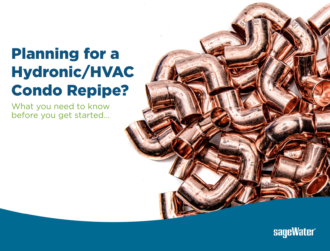# Hydronic/HVAC (A)  $\sim$  Second level  $\sim$ Planning for a Condo Repipe?

What you need to know before you get started…



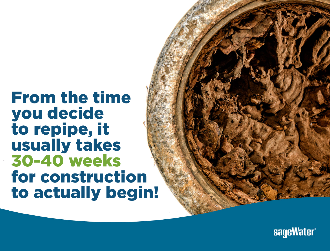# From the time you decide to repipe, it usually takes 30-40 weeks for construction to actually begin!

 $\mathcal{L}(\mathcal{L})$ 

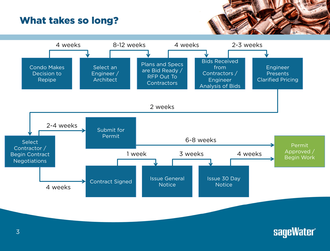#### What takes so long?



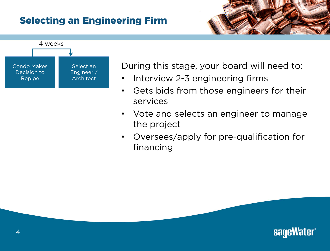# **Selecting an Engineering Firm**



ndo Makes **of the Select an During this stage, your board will need to:** 

- Interview 2-3 engineering firms
- Gets bids from those engineers for their services
- Vote and selects an engineer to manage the project
- Oversees/apply for pre-qualification for financing

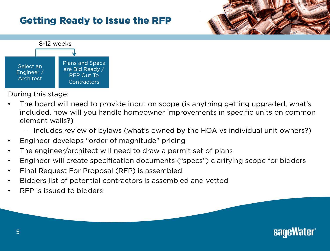# **Getting Ready to Issue the RFP**





- The board will need to provide input on scope (is anything getting upgraded, what's included, how will you handle homeowner improvements in specific units on common element walls?)
	- Includes review of bylaws (what's owned by the HOA vs individual unit owners?)
- Engineer develops "order of magnitude" pricing
- The engineer/architect will need to draw a permit set of plans
- Engineer will create specification documents ("specs") clarifying scope for bidders
- Final Request For Proposal (RFP) is assembled
- Bidders list of potential contractors is assembled and vetted
- RFP is issued to bidders

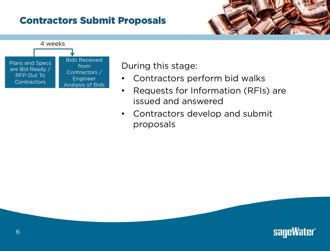# **Contractors Submit Proposals**





- Contractors perform bid walks
- Requests for Information (RFIs) are issued and answered
- Contractors develop and submit proposals

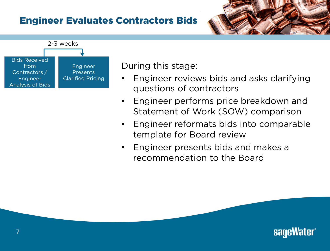#### **Engineer Evaluates Contractors Bids**



- Engineer reviews bids and asks clarifying questions of contractors
- Engineer performs price breakdown and Statement of Work (SOW) comparison
- Engineer reformats bids into comparable template for Board review
- Engineer presents bids and makes a recommendation to the Board

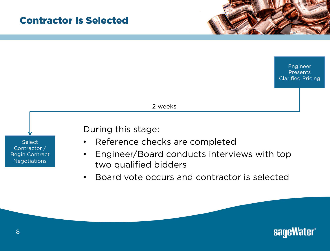#### **Contractor Is Selected**



2 weeks



- Reference checks are completed
- Engineer/Board conducts interviews with top two qualified bidders
- Board vote occurs and contractor is selected

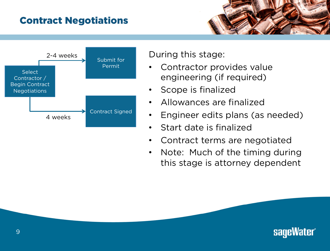# **Contract Negotiations**



- engineering (if required)
- Scope is finalized
- Allowances are finalized
- Engineer edits plans (as needed)
- Start date is finalized
- Contract terms are negotiated
- Note: Much of the timing during this stage is attorney dependent

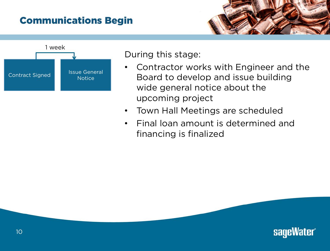# **Communications Begin**



- **•** Contractor works with Engineer and the Board to develop and issue building wide general notice about the upcoming project
	- Town Hall Meetings are scheduled
	- Final loan amount is determined and financing is finalized

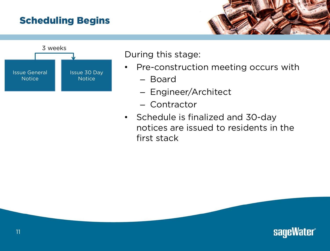# **Scheduling Begins**



- **Example 20 Aster Styles Construction meeting occurs with** 
	- Board
	- Engineer/Architect
	- Contractor
	- Schedule is finalized and 30-day notices are issued to residents in the first stack

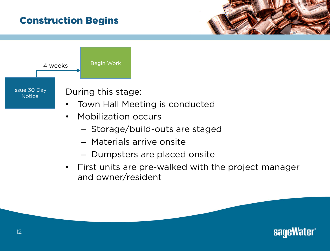# **Construction Begins**



- Storage/build-outs are staged
- Materials arrive onsite
- Dumpsters are placed onsite
- First units are pre-walked with the project manager and owner/resident